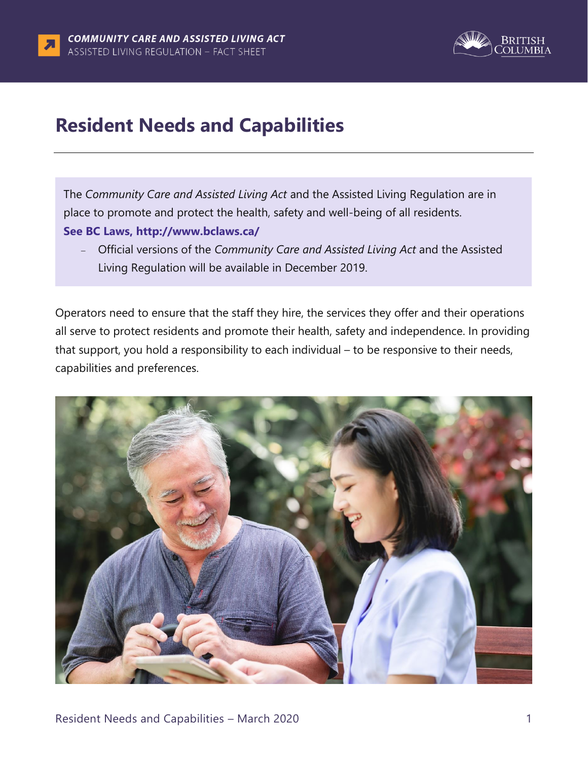



# **Resident Needs and Capabilities**

The *Community Care and Assisted Living Act* and the Assisted Living Regulation are in place to promote and protect the health, safety and well-being of all residents.

**See BC Laws,<http://www.bclaws.ca/>**

− Official versions of the *Community Care and Assisted Living Act* and the Assisted Living Regulation will be available in December 2019.

Operators need to ensure that the staff they hire, the services they offer and their operations all serve to protect residents and promote their health, safety and independence. In providing that support, you hold a responsibility to each individual – to be responsive to their needs, capabilities and preferences.

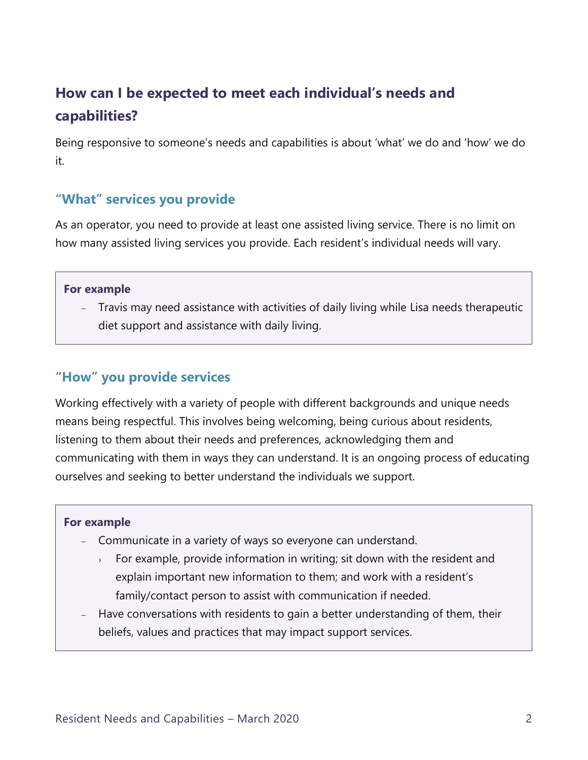## **How can I be expected to meet each individual's needs and capabilities?**

Being responsive to someone's needs and capabilities is about 'what' we do and 'how' we do it.

## **"What" services you provide**

As an operator, you need to provide at least one assisted living service. There is no limit on how many assisted living services you provide. Each resident's individual needs will vary.

### **For example**

Travis may need assistance with activities of daily living while Lisa needs therapeutic diet support and assistance with daily living.

### **"How" you provide services**

Working effectively with a variety of people with different backgrounds and unique needs means being respectful. This involves being welcoming, being curious about residents, listening to them about their needs and preferences, acknowledging them and communicating with them in ways they can understand. It is an ongoing process of educating ourselves and seeking to better understand the individuals we support.

### **For example**

- − Communicate in a variety of ways so everyone can understand.
	- For example, provide information in writing; sit down with the resident and explain important new information to them; and work with a resident's family/contact person to assist with communication if needed.
- Have conversations with residents to gain a better understanding of them, their beliefs, values and practices that may impact support services.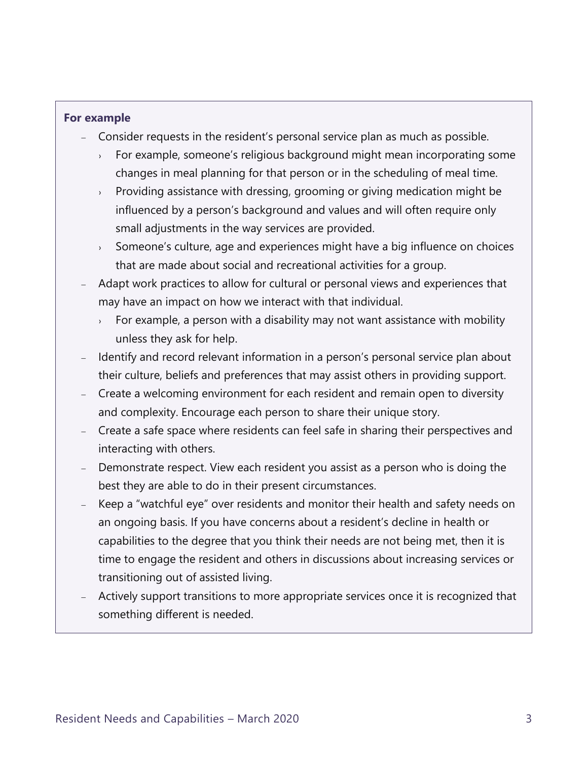### **For example**

- − Consider requests in the resident's personal service plan as much as possible.
	- For example, someone's religious background might mean incorporating some changes in meal planning for that person or in the scheduling of meal time.
	- › Providing assistance with dressing, grooming or giving medication might be influenced by a person's background and values and will often require only small adjustments in the way services are provided.
	- $\sim$  Someone's culture, age and experiences might have a big influence on choices that are made about social and recreational activities for a group.
- − Adapt work practices to allow for cultural or personal views and experiences that may have an impact on how we interact with that individual.
	- For example, a person with a disability may not want assistance with mobility unless they ask for help.
- Hentify and record relevant information in a person's personal service plan about their culture, beliefs and preferences that may assist others in providing support.
- − Create a welcoming environment for each resident and remain open to diversity and complexity. Encourage each person to share their unique story.
- − Create a safe space where residents can feel safe in sharing their perspectives and interacting with others.
- Demonstrate respect. View each resident you assist as a person who is doing the best they are able to do in their present circumstances.
- Keep a "watchful eye" over residents and monitor their health and safety needs on an ongoing basis. If you have concerns about a resident's decline in health or capabilities to the degree that you think their needs are not being met, then it is time to engage the resident and others in discussions about increasing services or transitioning out of assisted living.
- − Actively support transitions to more appropriate services once it is recognized that something different is needed.